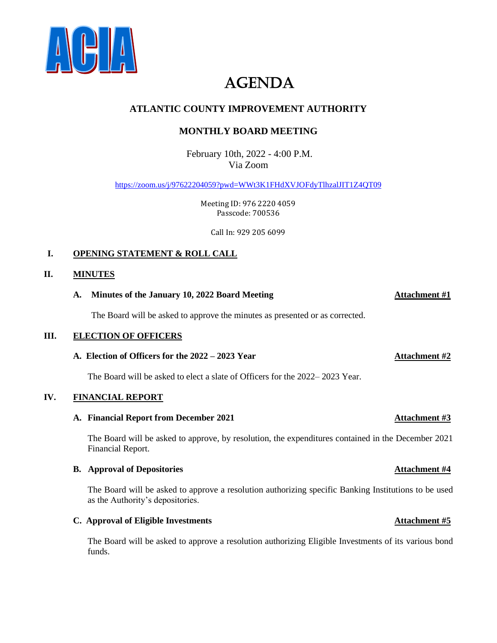

# AGENDA

# **ATLANTIC COUNTY IMPROVEMENT AUTHORITY**

# **MONTHLY BOARD MEETING**

February 10th, 2022 - 4:00 P.M. Via Zoom

<https://zoom.us/j/97622204059?pwd=WWt3K1FHdXVJOFdyTlhzalJIT1Z4QT09>

Meeting ID: 976 2220 4059 Passcode: 700536

Call In: 929 205 6099

# **I. OPENING STATEMENT & ROLL CALL**

# **II. MINUTES**

# **A. Minutes of the January 10, 2022 Board Meeting Attachment #1**

The Board will be asked to approve the minutes as presented or as corrected.

# **III. ELECTION OF OFFICERS**

# **A. Election of Officers for the 2022 – 2023 Year Attachment #2**

The Board will be asked to elect a slate of Officers for the 2022– 2023 Year.

# **IV. FINANCIAL REPORT**

# **A. Financial Report from December 2021 Attachment #3**

The Board will be asked to approve, by resolution, the expenditures contained in the December 2021 Financial Report.

# **B. Approval of Depositories Attachment #4 Attachment #6**

The Board will be asked to approve a resolution authorizing specific Banking Institutions to be used as the Authority's depositories.

# **C.** Approval of Eligible Investments **Attachment #5**

The Board will be asked to approve a resolution authorizing Eligible Investments of its various bond funds.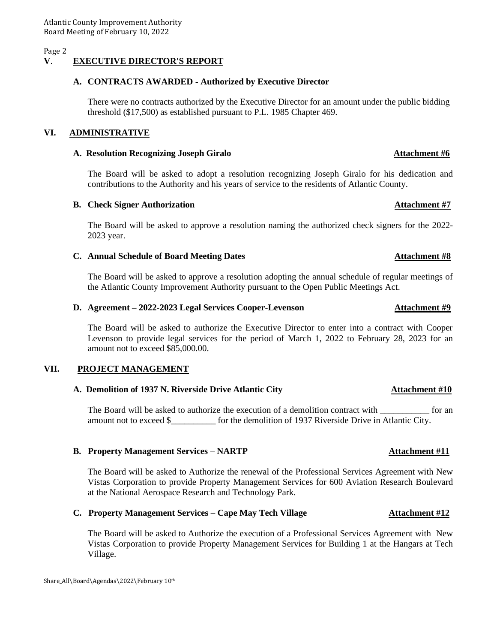### **V**. **EXECUTIVE DIRECTOR'S REPORT**

### **A. CONTRACTS AWARDED - Authorized by Executive Director**

There were no contracts authorized by the Executive Director for an amount under the public bidding threshold (\$17,500) as established pursuant to P.L. 1985 Chapter 469.

### **VI. ADMINISTRATIVE**

### **A. Resolution Recognizing Joseph Giralo Attachment #6**

The Board will be asked to adopt a resolution recognizing Joseph Giralo for his dedication and contributions to the Authority and his years of service to the residents of Atlantic County.

### **B.** Check Signer Authorization **Attachment #7**

The Board will be asked to approve a resolution naming the authorized check signers for the 2022- 2023 year.

### **C. Annual Schedule of Board Meeting Dates Attachment #8**

The Board will be asked to approve a resolution adopting the annual schedule of regular meetings of the Atlantic County Improvement Authority pursuant to the Open Public Meetings Act.

# **D.** Agreement – 2022-2023 Legal Services Cooper-Levenson Attachment #9

The Board will be asked to authorize the Executive Director to enter into a contract with Cooper Levenson to provide legal services for the period of March 1, 2022 to February 28, 2023 for an amount not to exceed \$85,000.00.

### **VII. PROJECT MANAGEMENT**

### **A. Demolition of 1937 N. Riverside Drive Atlantic City Attachment #10**

The Board will be asked to authorize the execution of a demolition contract with  $\sim$  for an amount not to exceed \$\_\_\_\_\_\_\_\_\_\_ for the demolition of 1937 Riverside Drive in Atlantic City.

### **B. Property Management Services – NARTP Attachment #11**

The Board will be asked to Authorize the renewal of the Professional Services Agreement with New Vistas Corporation to provide Property Management Services for 600 Aviation Research Boulevard at the National Aerospace Research and Technology Park.

### **C. Property Management Services – Cape May Tech Village**  $\overrightarrow{A}$  **Attachment #12**

The Board will be asked to Authorize the execution of a Professional Services Agreement with New Vistas Corporation to provide Property Management Services for Building 1 at the Hangars at Tech Village.